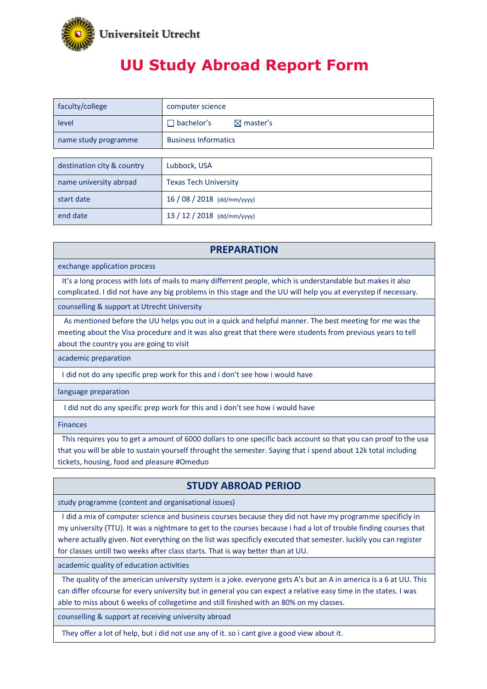

# **UU Study Abroad Report Form**

| faculty/college            | computer science                          |
|----------------------------|-------------------------------------------|
| level                      | bachelor's<br>$\boxtimes$ master's<br>- 1 |
| name study programme       | <b>Business Informatics</b>               |
|                            |                                           |
| destination city & country | Lubbock, USA                              |
| name university abroad     | <b>Texas Tech University</b>              |
| start date                 | 16 / 08 / 2018 (dd/mm/yyyy)               |
| end date                   | 13 / 12 / 2018 (dd/mm/yyyy)               |

#### **PREPARATION**

exchange application process

It's a long process with lots of mails to many differrent people, which is understandable but makes it also complicated. I did not have any big problems in this stage and the UU will help you at everystep if necessary.

counselling & support at Utrecht University

As mentioned before the UU helps you out in a quick and helpful manner. The best meeting for me was the meeting about the Visa procedure and it was also great that there were students from previous years to tell about the country you are going to visit

academic preparation

I did not do any specific prep work for this and i don't see how i would have

language preparation

I did not do any specific prep work for this and i don't see how i would have

Finances

This requires you to get a amount of 6000 dollars to one specific back account so that you can proof to the usa that you will be able to sustain yourself throught the semester. Saying that i spend about 12k total including tickets, housing, food and pleasure #Omeduo

#### **STUDY ABROAD PERIOD**

study programme (content and organisational issues)

I did a mix of computer science and business courses because they did not have my programme specificly in my university (TTU). It was a nightmare to get to the courses because i had a lot of trouble finding courses that where actually given. Not everything on the list was specificly executed that semester. luckily you can register for classes untill two weeks after class starts. That is way better than at UU.

academic quality of education activities

The quality of the american university system is a joke. everyone gets A's but an A in america is a 6 at UU. This can differ ofcourse for every university but in general you can expect a relative easy time in the states. I was able to miss about 6 weeks of collegetime and still finished with an 80% on my classes.

counselling & support at receiving university abroad

They offer a lot of help, but i did not use any of it. so i cant give a good view about it.